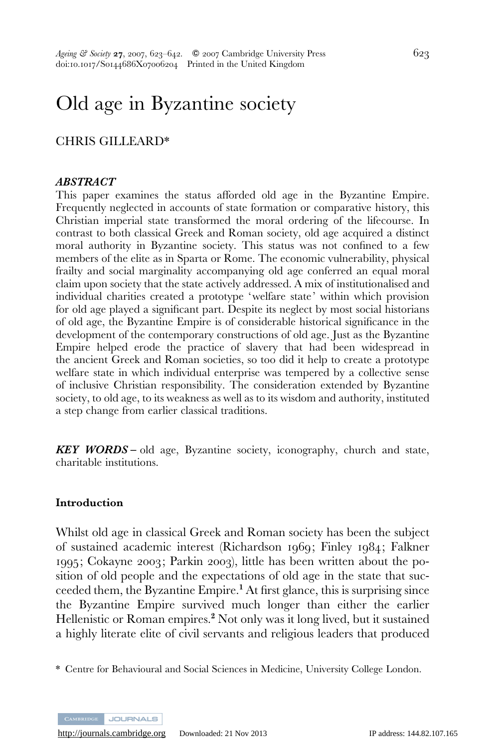# Old age in Byzantine society

# CHRIS GILLEARD\*

### ABSTRACT

This paper examines the status afforded old age in the Byzantine Empire. Frequently neglected in accounts of state formation or comparative history, this Christian imperial state transformed the moral ordering of the lifecourse. In contrast to both classical Greek and Roman society, old age acquired a distinct moral authority in Byzantine society. This status was not confined to a few members of the elite as in Sparta or Rome. The economic vulnerability, physical frailty and social marginality accompanying old age conferred an equal moral claim upon society that the state actively addressed. A mix of institutionalised and individual charities created a prototype 'welfare state' within which provision for old age played a significant part. Despite its neglect by most social historians of old age, the Byzantine Empire is of considerable historical significance in the development of the contemporary constructions of old age. Just as the Byzantine Empire helped erode the practice of slavery that had been widespread in the ancient Greek and Roman societies, so too did it help to create a prototype welfare state in which individual enterprise was tempered by a collective sense of inclusive Christian responsibility. The consideration extended by Byzantine society, to old age, to its weakness as well as to its wisdom and authority, instituted a step change from earlier classical traditions.

KEY WORDS – old age, Byzantine society, iconography, church and state, charitable institutions.

## Introduction

Whilst old age in classical Greek and Roman society has been the subject of sustained academic interest (Richardson 1969; Finley 1984; Falkner 1995; Cokayne 2003; Parkin 2003), little has been written about the position of old people and the expectations of old age in the state that succeeded them, the Byzantine Empire.<sup>1</sup> At first glance, this is surprising since the Byzantine Empire survived much longer than either the earlier Hellenistic or Roman empires.<sup>2</sup> Not only was it long lived, but it sustained a highly literate elite of civil servants and religious leaders that produced

\* Centre for Behavioural and Social Sciences in Medicine, University College London.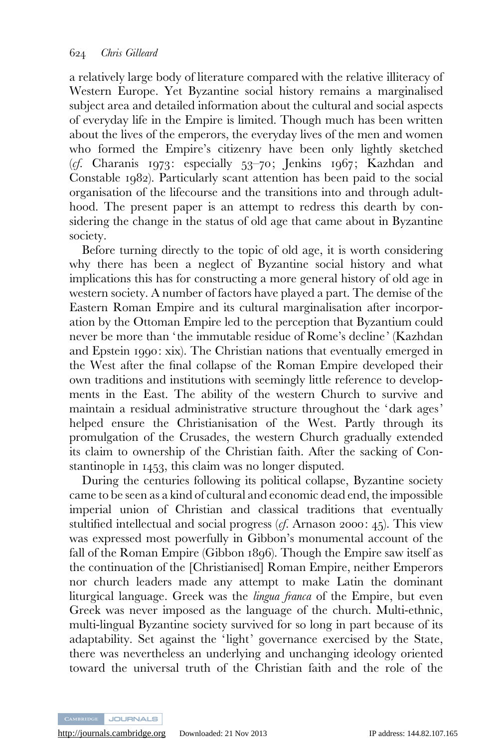a relatively large body of literature compared with the relative illiteracy of Western Europe. Yet Byzantine social history remains a marginalised subject area and detailed information about the cultural and social aspects of everyday life in the Empire is limited. Though much has been written about the lives of the emperors, the everyday lives of the men and women who formed the Empire's citizenry have been only lightly sketched (cf. Charanis 1973: especially 53–70; Jenkins 1967; Kazhdan and Constable 1982). Particularly scant attention has been paid to the social organisation of the lifecourse and the transitions into and through adulthood. The present paper is an attempt to redress this dearth by considering the change in the status of old age that came about in Byzantine society.

Before turning directly to the topic of old age, it is worth considering why there has been a neglect of Byzantine social history and what implications this has for constructing a more general history of old age in western society. A number of factors have played a part. The demise of the Eastern Roman Empire and its cultural marginalisation after incorporation by the Ottoman Empire led to the perception that Byzantium could never be more than 'the immutable residue of Rome's decline' (Kazhdan and Epstein 1990: xix). The Christian nations that eventually emerged in the West after the final collapse of the Roman Empire developed their own traditions and institutions with seemingly little reference to developments in the East. The ability of the western Church to survive and maintain a residual administrative structure throughout the 'dark ages' helped ensure the Christianisation of the West. Partly through its promulgation of the Crusades, the western Church gradually extended its claim to ownership of the Christian faith. After the sacking of Constantinople in 1453, this claim was no longer disputed.

During the centuries following its political collapse, Byzantine society came to be seen as a kind of cultural and economic dead end, the impossible imperial union of Christian and classical traditions that eventually stultified intellectual and social progress  $(cf.$  Arnason 2000: 45). This view was expressed most powerfully in Gibbon's monumental account of the fall of the Roman Empire (Gibbon 1896). Though the Empire saw itself as the continuation of the [Christianised] Roman Empire, neither Emperors nor church leaders made any attempt to make Latin the dominant liturgical language. Greek was the lingua franca of the Empire, but even Greek was never imposed as the language of the church. Multi-ethnic, multi-lingual Byzantine society survived for so long in part because of its adaptability. Set against the 'light' governance exercised by the State, there was nevertheless an underlying and unchanging ideology oriented toward the universal truth of the Christian faith and the role of the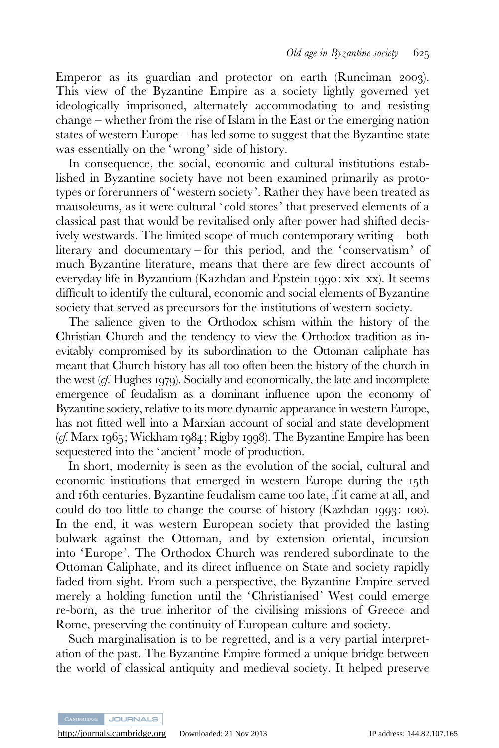Emperor as its guardian and protector on earth (Runciman 2003). This view of the Byzantine Empire as a society lightly governed yet ideologically imprisoned, alternately accommodating to and resisting change – whether from the rise of Islam in the East or the emerging nation states of western Europe – has led some to suggest that the Byzantine state was essentially on the 'wrong' side of history.

In consequence, the social, economic and cultural institutions established in Byzantine society have not been examined primarily as prototypes or forerunners of 'western society'. Rather they have been treated as mausoleums, as it were cultural 'cold stores' that preserved elements of a classical past that would be revitalised only after power had shifted decisively westwards. The limited scope of much contemporary writing – both literary and documentary – for this period, and the 'conservatism' of much Byzantine literature, means that there are few direct accounts of everyday life in Byzantium (Kazhdan and Epstein 1990: xix–xx). It seems difficult to identify the cultural, economic and social elements of Byzantine society that served as precursors for the institutions of western society.

The salience given to the Orthodox schism within the history of the Christian Church and the tendency to view the Orthodox tradition as inevitably compromised by its subordination to the Ottoman caliphate has meant that Church history has all too often been the history of the church in the west (cf. Hughes 1979). Socially and economically, the late and incomplete emergence of feudalism as a dominant influence upon the economy of Byzantine society, relative to its more dynamic appearance in western Europe, has not fitted well into a Marxian account of social and state development (cf. Marx 1965; Wickham 1984; Rigby 1998). The Byzantine Empire has been sequestered into the 'ancient' mode of production.

In short, modernity is seen as the evolution of the social, cultural and economic institutions that emerged in western Europe during the 15th and 16th centuries. Byzantine feudalism came too late, if it came at all, and could do too little to change the course of history (Kazhdan 1993: 100). In the end, it was western European society that provided the lasting bulwark against the Ottoman, and by extension oriental, incursion into 'Europe'. The Orthodox Church was rendered subordinate to the Ottoman Caliphate, and its direct influence on State and society rapidly faded from sight. From such a perspective, the Byzantine Empire served merely a holding function until the 'Christianised' West could emerge re-born, as the true inheritor of the civilising missions of Greece and Rome, preserving the continuity of European culture and society.

Such marginalisation is to be regretted, and is a very partial interpretation of the past. The Byzantine Empire formed a unique bridge between the world of classical antiquity and medieval society. It helped preserve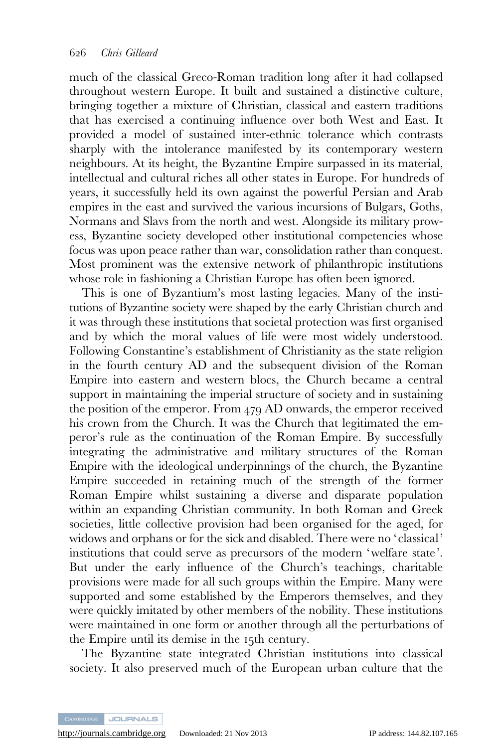much of the classical Greco-Roman tradition long after it had collapsed throughout western Europe. It built and sustained a distinctive culture, bringing together a mixture of Christian, classical and eastern traditions that has exercised a continuing influence over both West and East. It provided a model of sustained inter-ethnic tolerance which contrasts sharply with the intolerance manifested by its contemporary western neighbours. At its height, the Byzantine Empire surpassed in its material, intellectual and cultural riches all other states in Europe. For hundreds of years, it successfully held its own against the powerful Persian and Arab empires in the east and survived the various incursions of Bulgars, Goths, Normans and Slavs from the north and west. Alongside its military prowess, Byzantine society developed other institutional competencies whose focus was upon peace rather than war, consolidation rather than conquest. Most prominent was the extensive network of philanthropic institutions whose role in fashioning a Christian Europe has often been ignored.

This is one of Byzantium's most lasting legacies. Many of the institutions of Byzantine society were shaped by the early Christian church and it was through these institutions that societal protection was first organised and by which the moral values of life were most widely understood. Following Constantine's establishment of Christianity as the state religion in the fourth century AD and the subsequent division of the Roman Empire into eastern and western blocs, the Church became a central support in maintaining the imperial structure of society and in sustaining the position of the emperor. From 479 AD onwards, the emperor received his crown from the Church. It was the Church that legitimated the emperor's rule as the continuation of the Roman Empire. By successfully integrating the administrative and military structures of the Roman Empire with the ideological underpinnings of the church, the Byzantine Empire succeeded in retaining much of the strength of the former Roman Empire whilst sustaining a diverse and disparate population within an expanding Christian community. In both Roman and Greek societies, little collective provision had been organised for the aged, for widows and orphans or for the sick and disabled. There were no 'classical' institutions that could serve as precursors of the modern 'welfare state'. But under the early influence of the Church's teachings, charitable provisions were made for all such groups within the Empire. Many were supported and some established by the Emperors themselves, and they were quickly imitated by other members of the nobility. These institutions were maintained in one form or another through all the perturbations of the Empire until its demise in the 15th century.

The Byzantine state integrated Christian institutions into classical society. It also preserved much of the European urban culture that the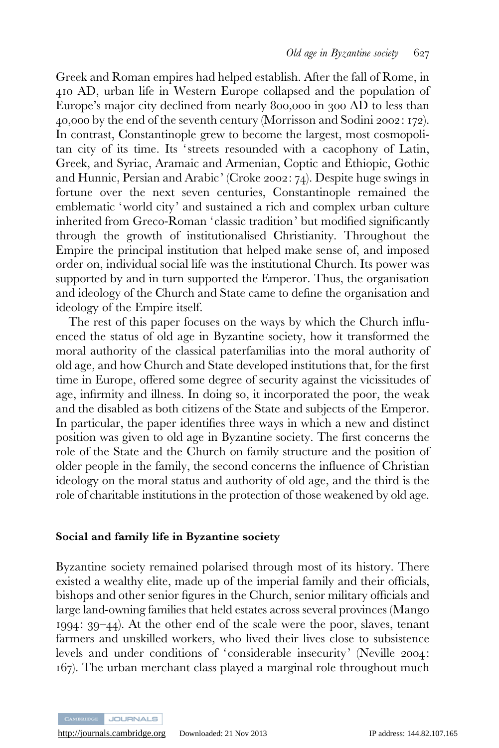Greek and Roman empires had helped establish. After the fall of Rome, in 410 AD, urban life in Western Europe collapsed and the population of Europe's major city declined from nearly 800,000 in 300 AD to less than 40,000 by the end of the seventh century (Morrisson and Sodini 2002: 172). In contrast, Constantinople grew to become the largest, most cosmopolitan city of its time. Its ' streets resounded with a cacophony of Latin, Greek, and Syriac, Aramaic and Armenian, Coptic and Ethiopic, Gothic and Hunnic, Persian and Arabic' (Croke 2002: 74). Despite huge swings in fortune over the next seven centuries, Constantinople remained the emblematic 'world city' and sustained a rich and complex urban culture inherited from Greco-Roman 'classic tradition' but modified significantly through the growth of institutionalised Christianity. Throughout the Empire the principal institution that helped make sense of, and imposed order on, individual social life was the institutional Church. Its power was supported by and in turn supported the Emperor. Thus, the organisation and ideology of the Church and State came to define the organisation and ideology of the Empire itself.

The rest of this paper focuses on the ways by which the Church influenced the status of old age in Byzantine society, how it transformed the moral authority of the classical paterfamilias into the moral authority of old age, and how Church and State developed institutions that, for the first time in Europe, offered some degree of security against the vicissitudes of age, infirmity and illness. In doing so, it incorporated the poor, the weak and the disabled as both citizens of the State and subjects of the Emperor. In particular, the paper identifies three ways in which a new and distinct position was given to old age in Byzantine society. The first concerns the role of the State and the Church on family structure and the position of older people in the family, the second concerns the influence of Christian ideology on the moral status and authority of old age, and the third is the role of charitable institutions in the protection of those weakened by old age.

## Social and family life in Byzantine society

Byzantine society remained polarised through most of its history. There existed a wealthy elite, made up of the imperial family and their officials, bishops and other senior figures in the Church, senior military officials and large land-owning families that held estates across several provinces (Mango 1994: 39–44). At the other end of the scale were the poor, slaves, tenant farmers and unskilled workers, who lived their lives close to subsistence levels and under conditions of 'considerable insecurity' (Neville 2004: 167). The urban merchant class played a marginal role throughout much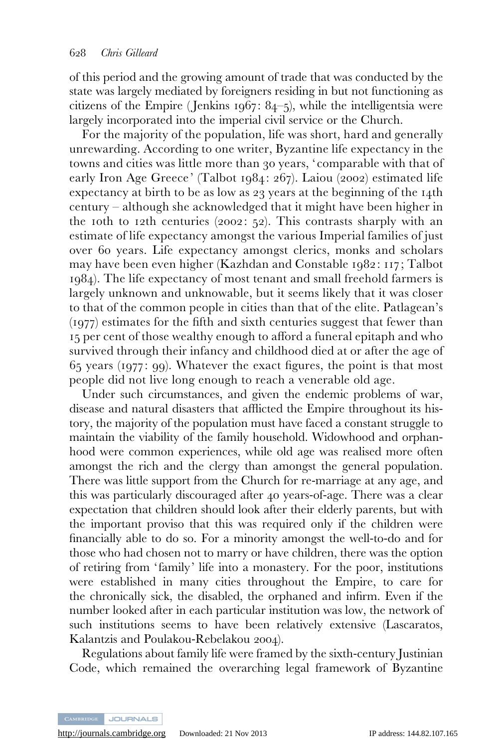of this period and the growing amount of trade that was conducted by the state was largely mediated by foreigners residing in but not functioning as citizens of the Empire ( Jenkins 1967: 84–5), while the intelligentsia were largely incorporated into the imperial civil service or the Church.

For the majority of the population, life was short, hard and generally unrewarding. According to one writer, Byzantine life expectancy in the towns and cities was little more than 30 years, ' comparable with that of early Iron Age Greece' (Talbot 1984: 267). Laiou (2002) estimated life expectancy at birth to be as low as 23 years at the beginning of the 14th century – although she acknowledged that it might have been higher in the 10th to 12th centuries (2002:  $52$ ). This contrasts sharply with an estimate of life expectancy amongst the various Imperial families of just over 60 years. Life expectancy amongst clerics, monks and scholars may have been even higher (Kazhdan and Constable 1982: 117; Talbot 1984). The life expectancy of most tenant and small freehold farmers is largely unknown and unknowable, but it seems likely that it was closer to that of the common people in cities than that of the elite. Patlagean's (1977) estimates for the fifth and sixth centuries suggest that fewer than 15 per cent of those wealthy enough to afford a funeral epitaph and who survived through their infancy and childhood died at or after the age of 65 years (1977: 99). Whatever the exact figures, the point is that most people did not live long enough to reach a venerable old age.

Under such circumstances, and given the endemic problems of war, disease and natural disasters that afflicted the Empire throughout its history, the majority of the population must have faced a constant struggle to maintain the viability of the family household. Widowhood and orphanhood were common experiences, while old age was realised more often amongst the rich and the clergy than amongst the general population. There was little support from the Church for re-marriage at any age, and this was particularly discouraged after 40 years-of-age. There was a clear expectation that children should look after their elderly parents, but with the important proviso that this was required only if the children were financially able to do so. For a minority amongst the well-to-do and for those who had chosen not to marry or have children, there was the option of retiring from 'family' life into a monastery. For the poor, institutions were established in many cities throughout the Empire, to care for the chronically sick, the disabled, the orphaned and infirm. Even if the number looked after in each particular institution was low, the network of such institutions seems to have been relatively extensive (Lascaratos, Kalantzis and Poulakou-Rebelakou 2004).

Regulations about family life were framed by the sixth-century Justinian Code, which remained the overarching legal framework of Byzantine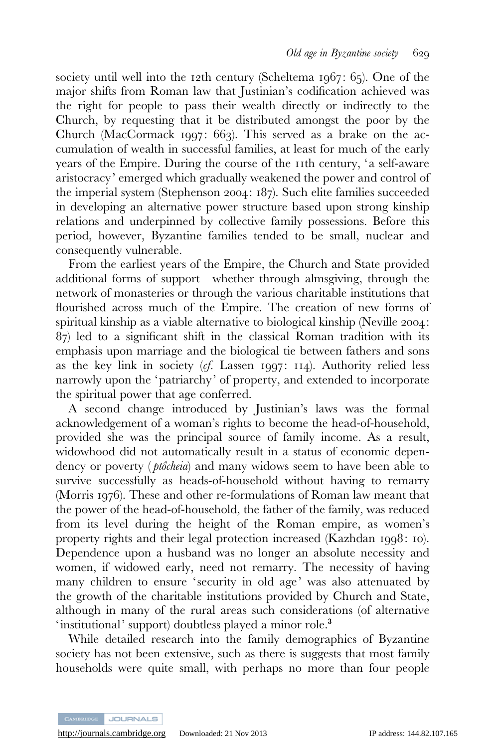society until well into the 12th century (Scheltema 1967: 65). One of the major shifts from Roman law that Justinian's codification achieved was the right for people to pass their wealth directly or indirectly to the Church, by requesting that it be distributed amongst the poor by the Church (MacCormack 1997: 663). This served as a brake on the accumulation of wealth in successful families, at least for much of the early years of the Empire. During the course of the 11th century, 'a self-aware aristocracy' emerged which gradually weakened the power and control of the imperial system (Stephenson 2004: 187). Such elite families succeeded in developing an alternative power structure based upon strong kinship relations and underpinned by collective family possessions. Before this period, however, Byzantine families tended to be small, nuclear and consequently vulnerable.

From the earliest years of the Empire, the Church and State provided additional forms of support – whether through almsgiving, through the network of monasteries or through the various charitable institutions that flourished across much of the Empire. The creation of new forms of spiritual kinship as a viable alternative to biological kinship (Neville 2004: 87) led to a significant shift in the classical Roman tradition with its emphasis upon marriage and the biological tie between fathers and sons as the key link in society  $(cf.$  Lassen 1997: 114). Authority relied less narrowly upon the 'patriarchy' of property, and extended to incorporate the spiritual power that age conferred.

A second change introduced by Justinian's laws was the formal acknowledgement of a woman's rights to become the head-of-household, provided she was the principal source of family income. As a result, widowhood did not automatically result in a status of economic dependency or poverty  $(ht\delta cheia)$  and many widows seem to have been able to survive successfully as heads-of-household without having to remarry (Morris 1976). These and other re-formulations of Roman law meant that the power of the head-of-household, the father of the family, was reduced from its level during the height of the Roman empire, as women's property rights and their legal protection increased (Kazhdan 1998: 10). Dependence upon a husband was no longer an absolute necessity and women, if widowed early, need not remarry. The necessity of having many children to ensure 'security in old age' was also attenuated by the growth of the charitable institutions provided by Church and State, although in many of the rural areas such considerations (of alternative 'institutional' support) doubtless played a minor role.<sup>3</sup>

While detailed research into the family demographics of Byzantine society has not been extensive, such as there is suggests that most family households were quite small, with perhaps no more than four people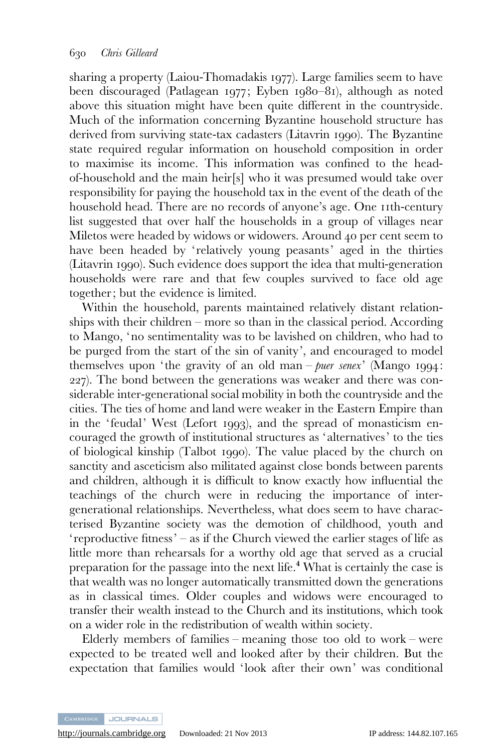sharing a property (Laiou-Thomadakis 1977). Large families seem to have been discouraged (Patlagean 1977; Eyben 1980–81), although as noted above this situation might have been quite different in the countryside. Much of the information concerning Byzantine household structure has derived from surviving state-tax cadasters (Litavrin 1990). The Byzantine state required regular information on household composition in order to maximise its income. This information was confined to the headof-household and the main heir[s] who it was presumed would take over responsibility for paying the household tax in the event of the death of the household head. There are no records of anyone's age. One 11th-century list suggested that over half the households in a group of villages near Miletos were headed by widows or widowers. Around 40 per cent seem to have been headed by 'relatively young peasants' aged in the thirties (Litavrin 1990). Such evidence does support the idea that multi-generation households were rare and that few couples survived to face old age together; but the evidence is limited.

Within the household, parents maintained relatively distant relationships with their children – more so than in the classical period. According to Mango, 'no sentimentality was to be lavished on children, who had to be purged from the start of the sin of vanity', and encouraged to model themselves upon 'the gravity of an old man – puer senex' (Mango 1994: 227). The bond between the generations was weaker and there was considerable inter-generational social mobility in both the countryside and the cities. The ties of home and land were weaker in the Eastern Empire than in the 'feudal' West (Lefort 1993), and the spread of monasticism encouraged the growth of institutional structures as 'alternatives' to the ties of biological kinship (Talbot 1990). The value placed by the church on sanctity and asceticism also militated against close bonds between parents and children, although it is difficult to know exactly how influential the teachings of the church were in reducing the importance of intergenerational relationships. Nevertheless, what does seem to have characterised Byzantine society was the demotion of childhood, youth and ' reproductive fitness' – as if the Church viewed the earlier stages of life as little more than rehearsals for a worthy old age that served as a crucial preparation for the passage into the next life.<sup>4</sup> What is certainly the case is that wealth was no longer automatically transmitted down the generations as in classical times. Older couples and widows were encouraged to transfer their wealth instead to the Church and its institutions, which took on a wider role in the redistribution of wealth within society.

Elderly members of families – meaning those too old to work – were expected to be treated well and looked after by their children. But the expectation that families would 'look after their own' was conditional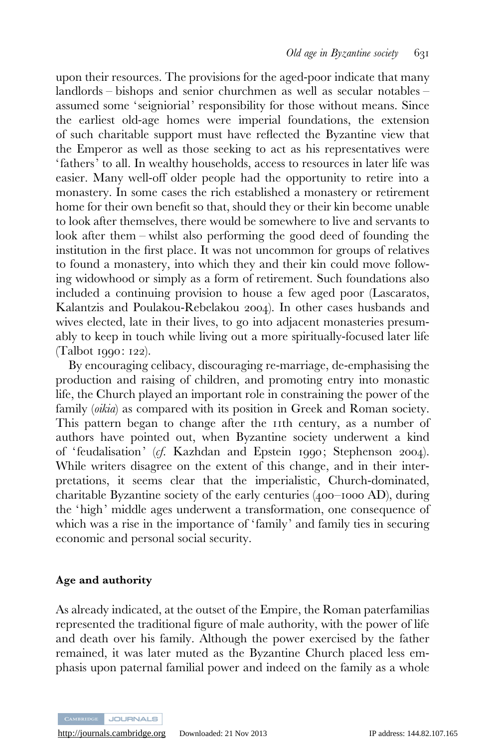upon their resources. The provisions for the aged-poor indicate that many landlords – bishops and senior churchmen as well as secular notables – assumed some ' seigniorial' responsibility for those without means. Since the earliest old-age homes were imperial foundations, the extension of such charitable support must have reflected the Byzantine view that the Emperor as well as those seeking to act as his representatives were 'fathers' to all. In wealthy households, access to resources in later life was easier. Many well-off older people had the opportunity to retire into a monastery. In some cases the rich established a monastery or retirement home for their own benefit so that, should they or their kin become unable to look after themselves, there would be somewhere to live and servants to look after them – whilst also performing the good deed of founding the institution in the first place. It was not uncommon for groups of relatives to found a monastery, into which they and their kin could move following widowhood or simply as a form of retirement. Such foundations also included a continuing provision to house a few aged poor (Lascaratos, Kalantzis and Poulakou-Rebelakou 2004). In other cases husbands and wives elected, late in their lives, to go into adjacent monasteries presumably to keep in touch while living out a more spiritually-focused later life (Talbot 1990: 122).

By encouraging celibacy, discouraging re-marriage, de-emphasising the production and raising of children, and promoting entry into monastic life, the Church played an important role in constraining the power of the family *(oikia)* as compared with its position in Greek and Roman society. This pattern began to change after the 11th century, as a number of authors have pointed out, when Byzantine society underwent a kind of 'feudalisation' (cf. Kazhdan and Epstein 1990; Stephenson 2004). While writers disagree on the extent of this change, and in their interpretations, it seems clear that the imperialistic, Church-dominated, charitable Byzantine society of the early centuries (400–1000 AD), during the 'high' middle ages underwent a transformation, one consequence of which was a rise in the importance of 'family' and family ties in securing economic and personal social security.

#### Age and authority

As already indicated, at the outset of the Empire, the Roman paterfamilias represented the traditional figure of male authority, with the power of life and death over his family. Although the power exercised by the father remained, it was later muted as the Byzantine Church placed less emphasis upon paternal familial power and indeed on the family as a whole

<http://journals.cambridge.org> Downloaded: 21 Nov 2013 IP address: 144.82.107.165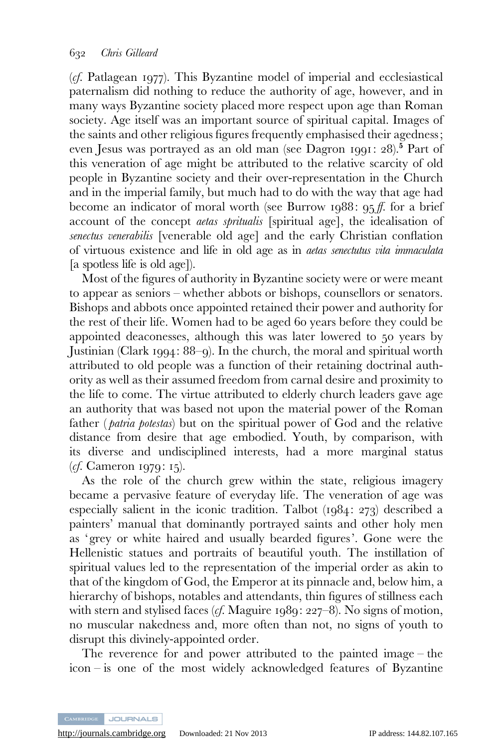(cf. Patlagean 1977). This Byzantine model of imperial and ecclesiastical paternalism did nothing to reduce the authority of age, however, and in many ways Byzantine society placed more respect upon age than Roman society. Age itself was an important source of spiritual capital. Images of the saints and other religious figures frequently emphasised their agedness; even Jesus was portrayed as an old man (see Dagron 1991: 28).<sup>5</sup> Part of this veneration of age might be attributed to the relative scarcity of old people in Byzantine society and their over-representation in the Church and in the imperial family, but much had to do with the way that age had become an indicator of moral worth (see Burrow 1988:  $95 \text{ ff}$ , for a brief account of the concept *aetas spritualis* [spiritual age], the idealisation of senectus venerabilis [venerable old age] and the early Christian conflation of virtuous existence and life in old age as in aetas senectutus vita immaculata [a spotless life is old age]).

Most of the figures of authority in Byzantine society were or were meant to appear as seniors – whether abbots or bishops, counsellors or senators. Bishops and abbots once appointed retained their power and authority for the rest of their life. Women had to be aged 60 years before they could be appointed deaconesses, although this was later lowered to 50 years by Justinian (Clark 1994: 88–9). In the church, the moral and spiritual worth attributed to old people was a function of their retaining doctrinal authority as well as their assumed freedom from carnal desire and proximity to the life to come. The virtue attributed to elderly church leaders gave age an authority that was based not upon the material power of the Roman father (*patria potestas*) but on the spiritual power of God and the relative distance from desire that age embodied. Youth, by comparison, with its diverse and undisciplined interests, had a more marginal status (*cf.* Cameron 1979: 15).

As the role of the church grew within the state, religious imagery became a pervasive feature of everyday life. The veneration of age was especially salient in the iconic tradition. Talbot (1984: 273) described a painters' manual that dominantly portrayed saints and other holy men as 'grey or white haired and usually bearded figures'. Gone were the Hellenistic statues and portraits of beautiful youth. The instillation of spiritual values led to the representation of the imperial order as akin to that of the kingdom of God, the Emperor at its pinnacle and, below him, a hierarchy of bishops, notables and attendants, thin figures of stillness each with stern and stylised faces (*cf.* Maguire 1989:  $227-8$ ). No signs of motion, no muscular nakedness and, more often than not, no signs of youth to disrupt this divinely-appointed order.

The reverence for and power attributed to the painted image – the icon – is one of the most widely acknowledged features of Byzantine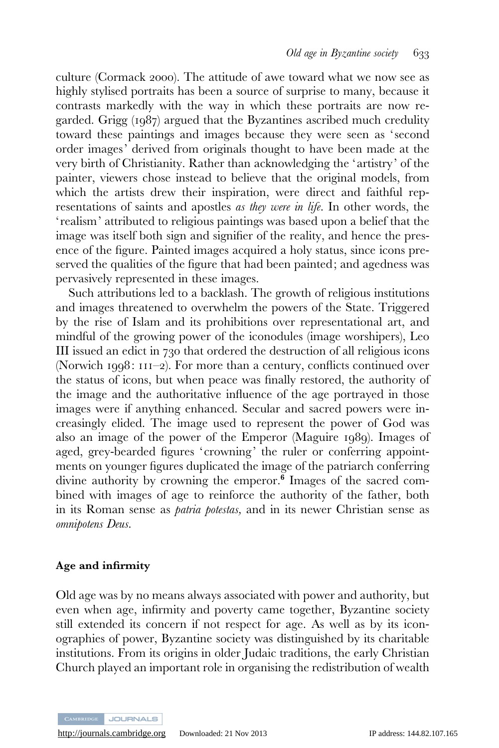culture (Cormack 2000). The attitude of awe toward what we now see as highly stylised portraits has been a source of surprise to many, because it contrasts markedly with the way in which these portraits are now regarded. Grigg (1987) argued that the Byzantines ascribed much credulity toward these paintings and images because they were seen as ' second order images' derived from originals thought to have been made at the very birth of Christianity. Rather than acknowledging the 'artistry' of the painter, viewers chose instead to believe that the original models, from which the artists drew their inspiration, were direct and faithful representations of saints and apostles as they were in life. In other words, the ' realism' attributed to religious paintings was based upon a belief that the image was itself both sign and signifier of the reality, and hence the presence of the figure. Painted images acquired a holy status, since icons preserved the qualities of the figure that had been painted; and agedness was pervasively represented in these images.

Such attributions led to a backlash. The growth of religious institutions and images threatened to overwhelm the powers of the State. Triggered by the rise of Islam and its prohibitions over representational art, and mindful of the growing power of the iconodules (image worshipers), Leo III issued an edict in 730 that ordered the destruction of all religious icons (Norwich 1998: 111–2). For more than a century, conflicts continued over the status of icons, but when peace was finally restored, the authority of the image and the authoritative influence of the age portrayed in those images were if anything enhanced. Secular and sacred powers were increasingly elided. The image used to represent the power of God was also an image of the power of the Emperor (Maguire 1989). Images of aged, grey-bearded figures 'crowning' the ruler or conferring appointments on younger figures duplicated the image of the patriarch conferring divine authority by crowning the emperor. $\frac{6}{9}$  Images of the sacred combined with images of age to reinforce the authority of the father, both in its Roman sense as patria potestas, and in its newer Christian sense as omnipotens Deus.

# Age and infirmity

Old age was by no means always associated with power and authority, but even when age, infirmity and poverty came together, Byzantine society still extended its concern if not respect for age. As well as by its iconographies of power, Byzantine society was distinguished by its charitable institutions. From its origins in older Judaic traditions, the early Christian Church played an important role in organising the redistribution of wealth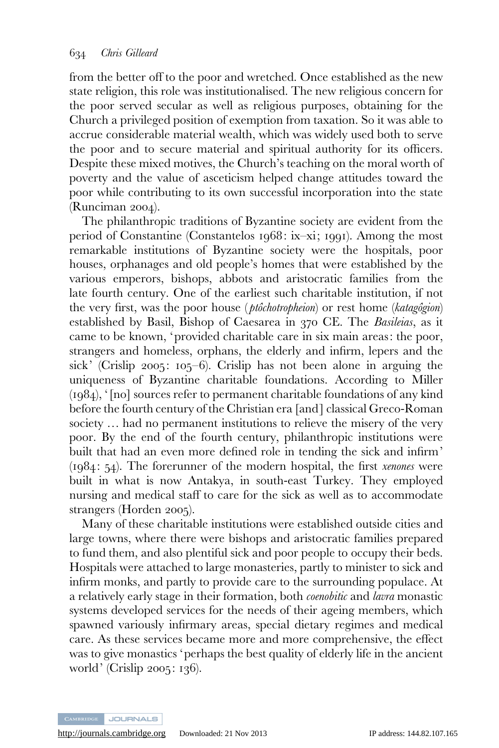from the better off to the poor and wretched. Once established as the new state religion, this role was institutionalised. The new religious concern for the poor served secular as well as religious purposes, obtaining for the Church a privileged position of exemption from taxation. So it was able to accrue considerable material wealth, which was widely used both to serve the poor and to secure material and spiritual authority for its officers. Despite these mixed motives, the Church's teaching on the moral worth of poverty and the value of asceticism helped change attitudes toward the poor while contributing to its own successful incorporation into the state (Runciman 2004).

The philanthropic traditions of Byzantine society are evident from the period of Constantine (Constantelos 1968: ix–xi; 1991). Among the most remarkable institutions of Byzantine society were the hospitals, poor houses, orphanages and old people's homes that were established by the various emperors, bishops, abbots and aristocratic families from the late fourth century. One of the earliest such charitable institution, if not the very first, was the poor house (*ptôchotropheion*) or rest home (*katagôgion*) established by Basil, Bishop of Caesarea in 370 CE. The Basileias, as it came to be known, 'provided charitable care in six main areas: the poor, strangers and homeless, orphans, the elderly and infirm, lepers and the sick' (Crislip 2005: 105–6). Crislip has not been alone in arguing the uniqueness of Byzantine charitable foundations. According to Miller (1984), ' [no] sources refer to permanent charitable foundations of any kind before the fourth century of the Christian era [and ] classical Greco-Roman society … had no permanent institutions to relieve the misery of the very poor. By the end of the fourth century, philanthropic institutions were built that had an even more defined role in tending the sick and infirm' (1984: 54). The forerunner of the modern hospital, the first xenones were built in what is now Antakya, in south-east Turkey. They employed nursing and medical staff to care for the sick as well as to accommodate strangers (Horden 2005).

Many of these charitable institutions were established outside cities and large towns, where there were bishops and aristocratic families prepared to fund them, and also plentiful sick and poor people to occupy their beds. Hospitals were attached to large monasteries, partly to minister to sick and infirm monks, and partly to provide care to the surrounding populace. At a relatively early stage in their formation, both coenobitic and lavra monastic systems developed services for the needs of their ageing members, which spawned variously infirmary areas, special dietary regimes and medical care. As these services became more and more comprehensive, the effect was to give monastics 'perhaps the best quality of elderly life in the ancient world' (Crislip 2005: 136).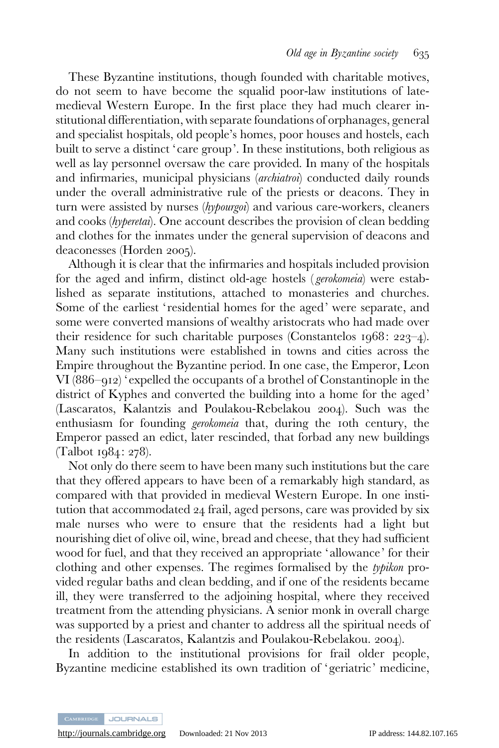These Byzantine institutions, though founded with charitable motives, do not seem to have become the squalid poor-law institutions of latemedieval Western Europe. In the first place they had much clearer institutional differentiation, with separate foundations of orphanages, general and specialist hospitals, old people's homes, poor houses and hostels, each built to serve a distinct 'care group'. In these institutions, both religious as well as lay personnel oversaw the care provided. In many of the hospitals and infirmaries, municipal physicians (archiatroi) conducted daily rounds under the overall administrative rule of the priests or deacons. They in turn were assisted by nurses (hypourgoi) and various care-workers, cleaners and cooks (hyperetai). One account describes the provision of clean bedding and clothes for the inmates under the general supervision of deacons and deaconesses (Horden 2005).

Although it is clear that the infirmaries and hospitals included provision for the aged and infirm, distinct old-age hostels ( gerokomeia) were established as separate institutions, attached to monasteries and churches. Some of the earliest ' residential homes for the aged' were separate, and some were converted mansions of wealthy aristocrats who had made over their residence for such charitable purposes (Constantelos 1968: 223–4). Many such institutions were established in towns and cities across the Empire throughout the Byzantine period. In one case, the Emperor, Leon VI  $(886 - q_12)$  'expelled the occupants of a brothel of Constantinople in the district of Kyphes and converted the building into a home for the aged' (Lascaratos, Kalantzis and Poulakou-Rebelakou 2004). Such was the enthusiasm for founding gerokomeia that, during the 10th century, the Emperor passed an edict, later rescinded, that forbad any new buildings (Talbot 1984: 278).

Not only do there seem to have been many such institutions but the care that they offered appears to have been of a remarkably high standard, as compared with that provided in medieval Western Europe. In one institution that accommodated 24 frail, aged persons, care was provided by six male nurses who were to ensure that the residents had a light but nourishing diet of olive oil, wine, bread and cheese, that they had sufficient wood for fuel, and that they received an appropriate 'allowance' for their clothing and other expenses. The regimes formalised by the typikon provided regular baths and clean bedding, and if one of the residents became ill, they were transferred to the adjoining hospital, where they received treatment from the attending physicians. A senior monk in overall charge was supported by a priest and chanter to address all the spiritual needs of the residents (Lascaratos, Kalantzis and Poulakou-Rebelakou. 2004).

In addition to the institutional provisions for frail older people, Byzantine medicine established its own tradition of 'geriatric' medicine,

CAMBRIDGE JOURNALS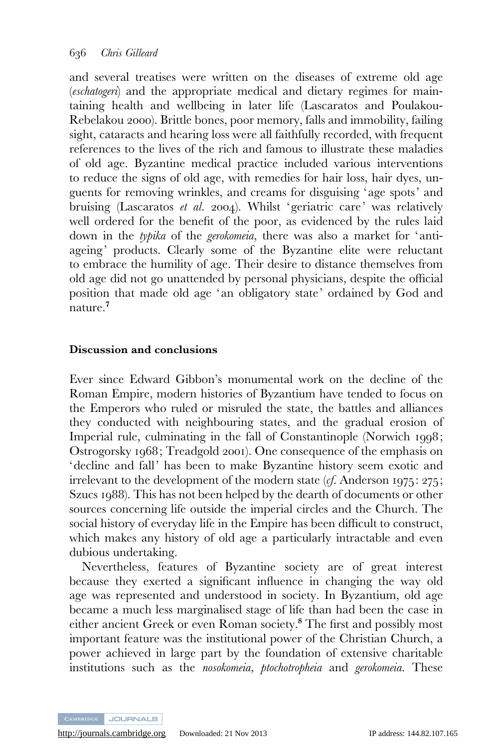and several treatises were written on the diseases of extreme old age (eschatogeri) and the appropriate medical and dietary regimes for maintaining health and wellbeing in later life (Lascaratos and Poulakou-Rebelakou 2000). Brittle bones, poor memory, falls and immobility, failing sight, cataracts and hearing loss were all faithfully recorded, with frequent references to the lives of the rich and famous to illustrate these maladies of old age. Byzantine medical practice included various interventions to reduce the signs of old age, with remedies for hair loss, hair dyes, unguents for removing wrinkles, and creams for disguising 'age spots' and bruising (Lascaratos et al. 2004). Whilst 'geriatric care' was relatively well ordered for the benefit of the poor, as evidenced by the rules laid down in the typika of the gerokomeia, there was also a market for 'antiageing' products. Clearly some of the Byzantine elite were reluctant to embrace the humility of age. Their desire to distance themselves from old age did not go unattended by personal physicians, despite the official position that made old age 'an obligatory state' ordained by God and nature.<sup>7</sup>

# Discussion and conclusions

Ever since Edward Gibbon's monumental work on the decline of the Roman Empire, modern histories of Byzantium have tended to focus on the Emperors who ruled or misruled the state, the battles and alliances they conducted with neighbouring states, and the gradual erosion of Imperial rule, culminating in the fall of Constantinople (Norwich 1998; Ostrogorsky 1968; Treadgold 2001). One consequence of the emphasis on 'decline and fall' has been to make Byzantine history seem exotic and irrelevant to the development of the modern state (cf. Anderson 1975: 275; Szucs 1988). This has not been helped by the dearth of documents or other sources concerning life outside the imperial circles and the Church. The social history of everyday life in the Empire has been difficult to construct, which makes any history of old age a particularly intractable and even dubious undertaking.

Nevertheless, features of Byzantine society are of great interest because they exerted a significant influence in changing the way old age was represented and understood in society. In Byzantium, old age became a much less marginalised stage of life than had been the case in either ancient Greek or even Roman society.<sup>8</sup> The first and possibly most important feature was the institutional power of the Christian Church, a power achieved in large part by the foundation of extensive charitable institutions such as the nosokomeia, ptochotropheia and gerokomeia. These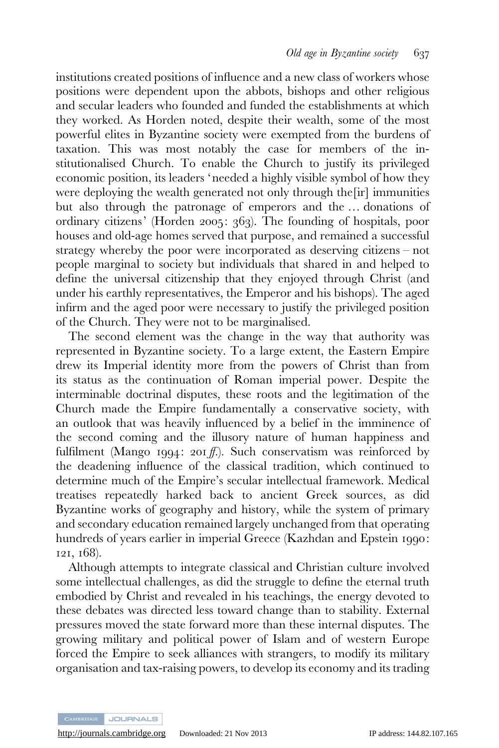institutions created positions of influence and a new class of workers whose positions were dependent upon the abbots, bishops and other religious and secular leaders who founded and funded the establishments at which they worked. As Horden noted, despite their wealth, some of the most powerful elites in Byzantine society were exempted from the burdens of taxation. This was most notably the case for members of the institutionalised Church. To enable the Church to justify its privileged economic position, its leaders 'needed a highly visible symbol of how they were deploying the wealth generated not only through the[ir] immunities but also through the patronage of emperors and the … donations of ordinary citizens' (Horden 2005: 363). The founding of hospitals, poor houses and old-age homes served that purpose, and remained a successful strategy whereby the poor were incorporated as deserving citizens – not people marginal to society but individuals that shared in and helped to define the universal citizenship that they enjoyed through Christ (and under his earthly representatives, the Emperor and his bishops). The aged infirm and the aged poor were necessary to justify the privileged position of the Church. They were not to be marginalised.

The second element was the change in the way that authority was represented in Byzantine society. To a large extent, the Eastern Empire drew its Imperial identity more from the powers of Christ than from its status as the continuation of Roman imperial power. Despite the interminable doctrinal disputes, these roots and the legitimation of the Church made the Empire fundamentally a conservative society, with an outlook that was heavily influenced by a belief in the imminence of the second coming and the illusory nature of human happiness and fulfilment (Mango 1994: 201 ff.). Such conservatism was reinforced by the deadening influence of the classical tradition, which continued to determine much of the Empire's secular intellectual framework. Medical treatises repeatedly harked back to ancient Greek sources, as did Byzantine works of geography and history, while the system of primary and secondary education remained largely unchanged from that operating hundreds of years earlier in imperial Greece (Kazhdan and Epstein 1990: 121, 168).

Although attempts to integrate classical and Christian culture involved some intellectual challenges, as did the struggle to define the eternal truth embodied by Christ and revealed in his teachings, the energy devoted to these debates was directed less toward change than to stability. External pressures moved the state forward more than these internal disputes. The growing military and political power of Islam and of western Europe forced the Empire to seek alliances with strangers, to modify its military organisation and tax-raising powers, to develop its economy and its trading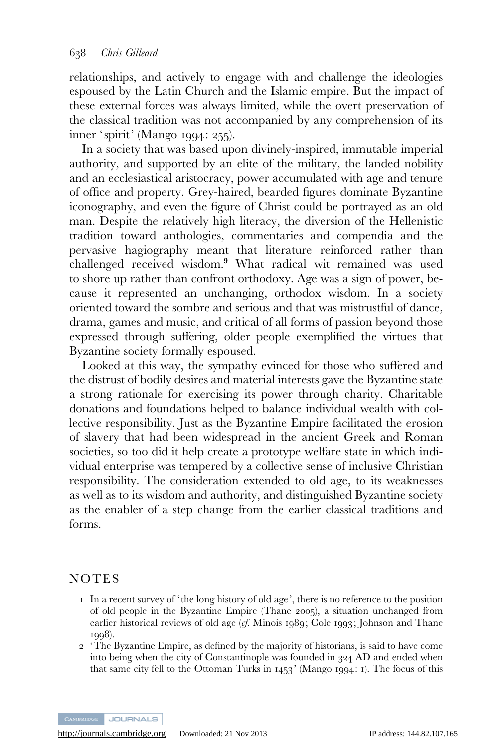relationships, and actively to engage with and challenge the ideologies espoused by the Latin Church and the Islamic empire. But the impact of these external forces was always limited, while the overt preservation of the classical tradition was not accompanied by any comprehension of its inner 'spirit' (Mango 1994: 255).

In a society that was based upon divinely-inspired, immutable imperial authority, and supported by an elite of the military, the landed nobility and an ecclesiastical aristocracy, power accumulated with age and tenure of office and property. Grey-haired, bearded figures dominate Byzantine iconography, and even the figure of Christ could be portrayed as an old man. Despite the relatively high literacy, the diversion of the Hellenistic tradition toward anthologies, commentaries and compendia and the pervasive hagiography meant that literature reinforced rather than challenged received wisdom.<sup>9</sup> What radical wit remained was used to shore up rather than confront orthodoxy. Age was a sign of power, because it represented an unchanging, orthodox wisdom. In a society oriented toward the sombre and serious and that was mistrustful of dance, drama, games and music, and critical of all forms of passion beyond those expressed through suffering, older people exemplified the virtues that Byzantine society formally espoused.

Looked at this way, the sympathy evinced for those who suffered and the distrust of bodily desires and material interests gave the Byzantine state a strong rationale for exercising its power through charity. Charitable donations and foundations helped to balance individual wealth with collective responsibility. Just as the Byzantine Empire facilitated the erosion of slavery that had been widespread in the ancient Greek and Roman societies, so too did it help create a prototype welfare state in which individual enterprise was tempered by a collective sense of inclusive Christian responsibility. The consideration extended to old age, to its weaknesses as well as to its wisdom and authority, and distinguished Byzantine society as the enabler of a step change from the earlier classical traditions and forms.

# NOTES

- 1 In a recent survey of 'the long history of old age', there is no reference to the position of old people in the Byzantine Empire (Thane 2005), a situation unchanged from earlier historical reviews of old age (cf. Minois 1989; Cole 1993; Johnson and Thane 1998).
- 2 'The Byzantine Empire, as defined by the majority of historians, is said to have come into being when the city of Constantinople was founded in 324 AD and ended when that same city fell to the Ottoman Turks in 1453' (Mango 1994: 1). The focus of this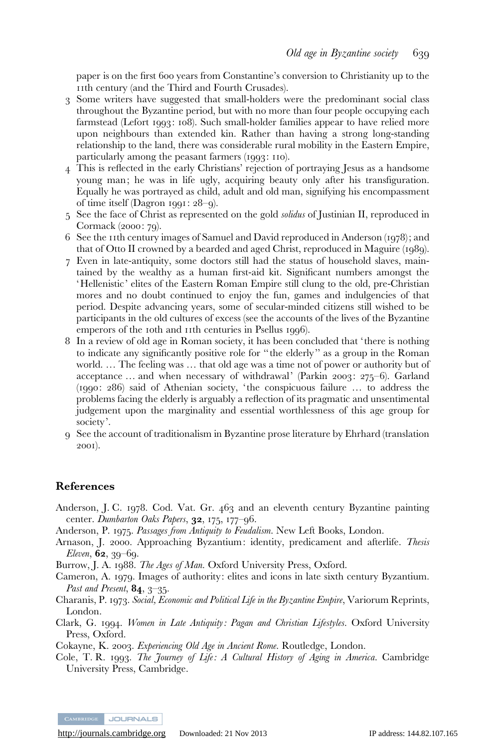paper is on the first 600 years from Constantine's conversion to Christianity up to the 11th century (and the Third and Fourth Crusades).

- 3 Some writers have suggested that small-holders were the predominant social class throughout the Byzantine period, but with no more than four people occupying each farmstead (Lefort 1993: 108). Such small-holder families appear to have relied more upon neighbours than extended kin. Rather than having a strong long-standing relationship to the land, there was considerable rural mobility in the Eastern Empire, particularly among the peasant farmers (1993: 110).
- 4 This is reflected in the early Christians' rejection of portraying Jesus as a handsome young man; he was in life ugly, acquiring beauty only after his transfiguration. Equally he was portrayed as child, adult and old man, signifying his encompassment of time itself (Dagron 1991: 28–9).
- 5 See the face of Christ as represented on the gold solidus of Justinian II, reproduced in Cormack (2000: 79).
- 6 See the 11th century images of Samuel and David reproduced in Anderson (1978); and that of Otto II crowned by a bearded and aged Christ, reproduced in Maguire (1989).
- 7 Even in late-antiquity, some doctors still had the status of household slaves, maintained by the wealthy as a human first-aid kit. Significant numbers amongst the 'Hellenistic' elites of the Eastern Roman Empire still clung to the old, pre-Christian mores and no doubt continued to enjoy the fun, games and indulgencies of that period. Despite advancing years, some of secular-minded citizens still wished to be participants in the old cultures of excess (see the accounts of the lives of the Byzantine emperors of the 10th and 11th centuries in Psellus 1996).
- 8 In a review of old age in Roman society, it has been concluded that 'there is nothing to indicate any significantly positive role for ''the elderly'' as a group in the Roman world. … The feeling was … that old age was a time not of power or authority but of acceptance … and when necessary of withdrawal' (Parkin 2003: 275–6). Garland (1990: 286) said of Athenian society, 'the conspicuous failure … to address the problems facing the elderly is arguably a reflection of its pragmatic and unsentimental judgement upon the marginality and essential worthlessness of this age group for society'.
- 9 See the account of traditionalism in Byzantine prose literature by Ehrhard (translation 2001).

## References

- Anderson, J. C. 1978. Cod. Vat. Gr. 463 and an eleventh century Byzantine painting center. Dumbarton Oaks Papers,  $32$ ,  $175$ ,  $177-96$ .
- Anderson, P. 1975. Passages from Antiquity to Feudalism. New Left Books, London.
- Arnason, J. 2000. Approaching Byzantium: identity, predicament and afterlife. Thesis *Eleven*,  $62, 39 - 69$ .
- Burrow, J. A. 1988. The Ages of Man. Oxford University Press, Oxford.
- Cameron, A. 1979. Images of authority: elites and icons in late sixth century Byzantium. Past and Present,  $84$ ,  $3-35$ .
- Charanis, P. 1973. Social, Economic and Political Life in the Byzantine Empire, Variorum Reprints, London.
- Clark, G. 1994. Women in Late Antiquity: Pagan and Christian Lifestyles. Oxford University Press, Oxford.
- Cokayne, K. 2003. Experiencing Old Age in Ancient Rome. Routledge, London.
- Cole, T. R. 1993. The Journey of Life: A Cultural History of Aging in America. Cambridge University Press, Cambridge.

**JOURNALS**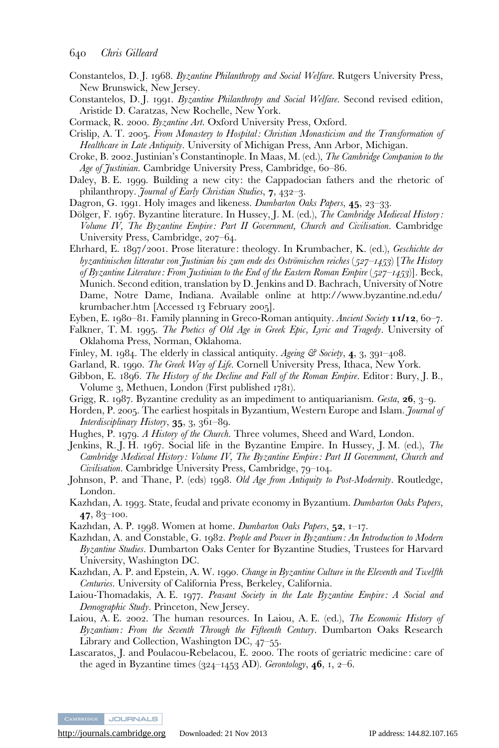- Constantelos, D. J. 1968. Byzantine Philanthropy and Social Welfare. Rutgers University Press, New Brunswick, New Jersey.
- Constantelos, D. J. 1991. Byzantine Philanthropy and Social Welfare. Second revised edition, Aristide D. Caratzas, New Rochelle, New York.
- Cormack, R. 2000. Byzantine Art. Oxford University Press, Oxford.
- Crislip, A. T. 2005. From Monastery to Hospital: Christian Monasticism and the Transformation of Healthcare in Late Antiquity. University of Michigan Press, Ann Arbor, Michigan.
- Croke, B. 2002. Justinian's Constantinople. In Maas, M. (ed.), The Cambridge Companion to the Age of Justinian. Cambridge University Press, Cambridge, 60-86.
- Daley, B. E. 1999. Building a new city: the Cappadocian fathers and the rhetoric of philanthropy. Journal of Early Christian Studies, 7, 432-3.
- Dagron, G. 1991. Holy images and likeness. Dumbarton Oaks Papers, 45, 23–33.
- Dölger, F. 1967. Byzantine literature. In Hussey, J. M. (ed.), The Cambridge Medieval History: Volume IV, The Byzantine Empire: Part II Government, Church and Civilisation. Cambridge University Press, Cambridge, 207–64.
- Ehrhard, E. 1897/2001. Prose literature: theology. In Krumbacher, K. (ed.), Geschichte der byzantinischen litteratur von Justinian bis zum ende des Oströmischen reiches (527–1453) [The History of Byzantine Literature: From Justinian to the End of the Eastern Roman Empire ( $527-1453$ ). Beck, Munich. Second edition, translation by D. Jenkins and D. Bachrach, University of Notre Dame, Notre Dame, Indiana. Available online at http://www.byzantine.nd.edu/ krumbacher.htm [Accessed 13 February 2005].
- Eyben, E. 1980–81. Family planning in Greco-Roman antiquity. Ancient Society  $\mathbf{11}/\mathbf{12}$ , 60–7.
- Falkner, T. M. 1995. The Poetics of Old Age in Greek Epic, Lyric and Tragedy. University of Oklahoma Press, Norman, Oklahoma.
- Finley, M. 1984. The elderly in classical antiquity. Ageing  $\mathcal{C}$  Society, 4, 3, 391–408.
- Garland, R. 1990. The Greek Way of Life. Cornell University Press, Ithaca, New York.
- Gibbon, E. 1896. The History of the Decline and Fall of the Roman Empire. Editor: Bury, J. B., Volume 3, Methuen, London (First published 1781).
- Grigg, R. 1987. Byzantine credulity as an impediment to antiquarianism. Gesta,  $26$ ,  $3-9$ .
- Horden, P. 2005. The earliest hospitals in Byzantium, Western Europe and Islam. Journal of Interdisciplinary History, 35, 3, 361–89.
- Hughes, P. 1979. A History of the Church. Three volumes, Sheed and Ward, London.
- Jenkins, R. J. H. 1967. Social life in the Byzantine Empire. In Hussey, J. M. (ed.), The Cambridge Medieval History: Volume IV, The Byzantine Empire: Part II Government, Church and Civilisation. Cambridge University Press, Cambridge, 79–104.
- Johnson, P. and Thane, P. (eds) 1998. Old Age from Antiquity to Post-Modernity. Routledge, London.
- Kazhdan, A. 1993. State, feudal and private economy in Byzantium. Dumbarton Oaks Papers, 47, 83–100.
- Kazhdan, A. P. 1998. Women at home. Dumbarton Oaks Papers, 52, 1-17.
- Kazhdan, A. and Constable, G. 1982. People and Power in Byzantium: An Introduction to Modern Byzantine Studies. Dumbarton Oaks Center for Byzantine Studies, Trustees for Harvard University, Washington DC.
- Kazhdan, A. P. and Epstein, A. W. 1990. Change in Byzantine Culture in the Eleventh and Twelfth Centuries. University of California Press, Berkeley, California.
- Laiou-Thomadakis, A. E. 1977. Peasant Society in the Late Byzantine Empire: A Social and Demographic Study. Princeton, New Jersey.
- Laiou, A. E. 2002. The human resources. In Laiou, A. E. (ed.), The Economic History of Byzantium: From the Seventh Through the Fifteenth Century. Dumbarton Oaks Research Library and Collection, Washington DC, 47–55.
- Lascaratos, J. and Poulacou-Rebelacou, E. 2000. The roots of geriatric medicine: care of the aged in Byzantine times  $(324-1453$  AD). Gerontology,  $46$ , 1, 2–6.

**JOURNALS**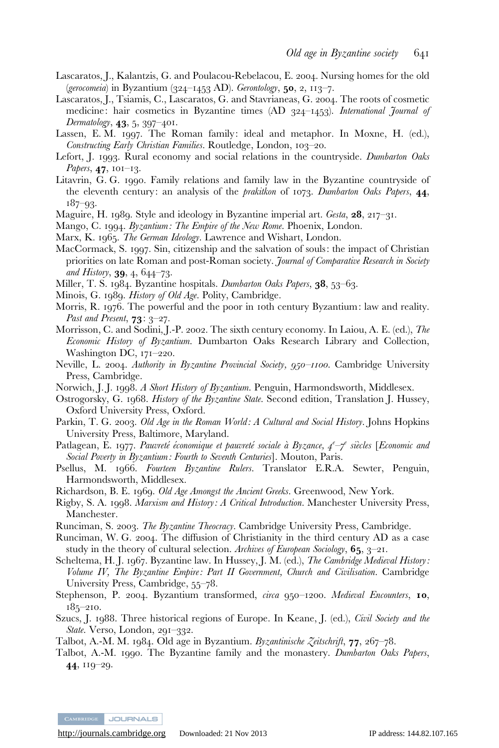- Lascaratos, J., Kalantzis, G. and Poulacou-Rebelacou, E. 2004. Nursing homes for the old (gerocomeia) in Byzantium (324–1453 AD). Gerontology, 50, 2, 113–7.
- Lascaratos, J., Tsiamis, C., Lascaratos, G. and Stavrianeas, G. 2004. The roots of cosmetic medicine: hair cosmetics in Byzantine times (AD 324–1453). International Journal of Dermatology, **43**, 5, 397-401.
- Lassen, E. M. 1997. The Roman family: ideal and metaphor. In Moxne, H. (ed.), Constructing Early Christian Families. Routledge, London, 103–20.
- Lefort, J. 1993. Rural economy and social relations in the countryside. Dumbarton Oaks Papers,  $47, 101-13$ .
- Litavrin, G. G. 1990. Family relations and family law in the Byzantine countryside of the eleventh century: an analysis of the prakitkon of 1073. Dumbarton Oaks Papers, 44, 187–93.
- Maguire, H. 1989. Style and ideology in Byzantine imperial art. Gesta,  $28$ ,  $217-31$ .
- Mango, C. 1994. Byzantium: The Empire of the New Rome. Phoenix, London.
- Marx, K. 1965. The German Ideology. Lawrence and Wishart, London.
- MacCormack, S. 1997. Sin, citizenship and the salvation of souls: the impact of Christian priorities on late Roman and post-Roman society. Journal of Comparative Research in Society and History, 39, 4, 644–73.
- Miller, T. S. 1984. Byzantine hospitals. Dumbarton Oaks Papers, 38, 53–63.
- Minois, G. 1989. History of Old Age. Polity, Cambridge.
- Morris, R. 1976. The powerful and the poor in 10th century Byzantium: law and reality. Past and Present,  $73: 3-27$ .
- Morrisson, C. and Sodini, J.-P. 2002. The sixth century economy. In Laiou, A. E. (ed.), The Economic History of Byzantium. Dumbarton Oaks Research Library and Collection, Washington DC, 171–220.
- Neville, L. 2004. Authority in Byzantine Provincial Society, 950–1100. Cambridge University Press, Cambridge.
- Norwich, J. J. 1998. A Short History of Byzantium. Penguin, Harmondsworth, Middlesex.
- Ostrogorsky, G. 1968. History of the Byzantine State. Second edition, Translation J. Hussey, Oxford University Press, Oxford.
- Parkin, T. G. 2003. Old Age in the Roman World: A Cultural and Social History. Johns Hopkins University Press, Baltimore, Maryland.
- Patlagean, E. 1977. Pauvreté économique et pauvreté sociale à Byzance,  $4^e$ - $f$  siècles [Economic and Social Poverty in Byzantium: Fourth to Seventh Centuries]. Mouton, Paris.
- Psellus, M. 1966. Fourteen Byzantine Rulers. Translator E.R.A. Sewter, Penguin, Harmondsworth, Middlesex.
- Richardson, B. E. 1969. Old Age Amongst the Ancient Greeks. Greenwood, New York.
- Rigby, S. A. 1998. Marxism and History: A Critical Introduction. Manchester University Press, Manchester.
- Runciman, S. 2003. The Byzantine Theocracy. Cambridge University Press, Cambridge.
- Runciman, W. G. 2004. The diffusion of Christianity in the third century AD as a case study in the theory of cultural selection. Archives of European Sociology,  $65$ ,  $3-21$ .
- Scheltema, H. J. 1967. Byzantine law. In Hussey, J. M. (ed.), The Cambridge Medieval History: Volume IV, The Byzantine Empire: Part II Government, Church and Civilisation. Cambridge University Press, Cambridge, 55–78.
- Stephenson, P. 2004. Byzantium transformed, circa 950–1200. Medieval Encounters, 10, 185–210.
- Szucs, J. 1988. Three historical regions of Europe. In Keane, J. (ed.), Civil Society and the State. Verso, London, 291-332.
- Talbot, A.-M. M. 1984. Old age in Byzantium. Byzantinische Zeitschrift, 77, 267–78.
- Talbot, A.-M. 1990. The Byzantine family and the monastery. Dumbarton Oaks Papers, 44, 119–29.